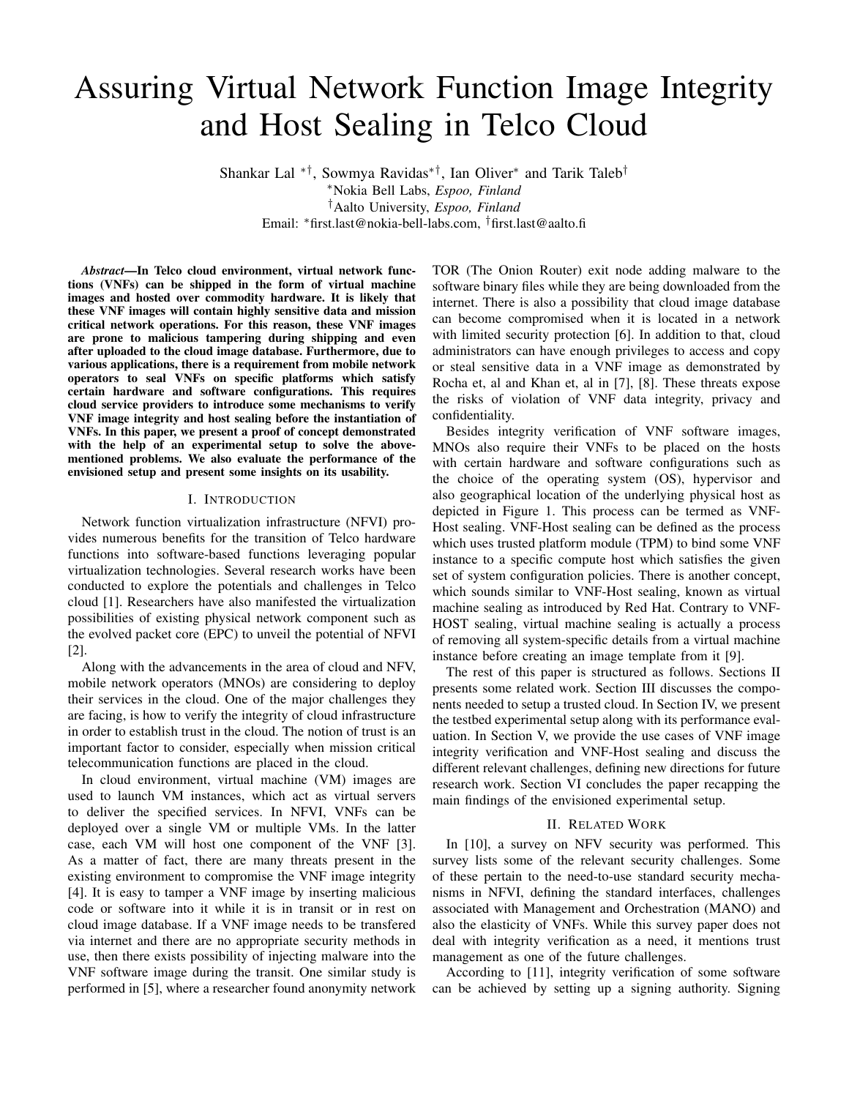# Assuring Virtual Network Function Image Integrity and Host Sealing in Telco Cloud

Shankar Lal ∗†, Sowmya Ravidas∗†, Ian Oliver<sup>∗</sup> and Tarik Taleb† <sup>∗</sup>Nokia Bell Labs, *Espoo, Finland* †Aalto University, *Espoo, Finland* Email: <sup>∗</sup>first.last@nokia-bell-labs.com, †first.last@aalto.fi

*Abstract*—In Telco cloud environment, virtual network functions (VNFs) can be shipped in the form of virtual machine images and hosted over commodity hardware. It is likely that these VNF images will contain highly sensitive data and mission critical network operations. For this reason, these VNF images are prone to malicious tampering during shipping and even after uploaded to the cloud image database. Furthermore, due to various applications, there is a requirement from mobile network operators to seal VNFs on specific platforms which satisfy certain hardware and software configurations. This requires cloud service providers to introduce some mechanisms to verify VNF image integrity and host sealing before the instantiation of VNFs. In this paper, we present a proof of concept demonstrated with the help of an experimental setup to solve the abovementioned problems. We also evaluate the performance of the envisioned setup and present some insights on its usability.

#### I. INTRODUCTION

Network function virtualization infrastructure (NFVI) provides numerous benefits for the transition of Telco hardware functions into software-based functions leveraging popular virtualization technologies. Several research works have been conducted to explore the potentials and challenges in Telco cloud [1]. Researchers have also manifested the virtualization possibilities of existing physical network component such as the evolved packet core (EPC) to unveil the potential of NFVI [2].

Along with the advancements in the area of cloud and NFV, mobile network operators (MNOs) are considering to deploy their services in the cloud. One of the major challenges they are facing, is how to verify the integrity of cloud infrastructure in order to establish trust in the cloud. The notion of trust is an important factor to consider, especially when mission critical telecommunication functions are placed in the cloud.

In cloud environment, virtual machine (VM) images are used to launch VM instances, which act as virtual servers to deliver the specified services. In NFVI, VNFs can be deployed over a single VM or multiple VMs. In the latter case, each VM will host one component of the VNF [3]. As a matter of fact, there are many threats present in the existing environment to compromise the VNF image integrity [4]. It is easy to tamper a VNF image by inserting malicious code or software into it while it is in transit or in rest on cloud image database. If a VNF image needs to be transfered via internet and there are no appropriate security methods in use, then there exists possibility of injecting malware into the VNF software image during the transit. One similar study is performed in [5], where a researcher found anonymity network

TOR (The Onion Router) exit node adding malware to the software binary files while they are being downloaded from the internet. There is also a possibility that cloud image database can become compromised when it is located in a network with limited security protection [6]. In addition to that, cloud administrators can have enough privileges to access and copy or steal sensitive data in a VNF image as demonstrated by Rocha et, al and Khan et, al in [7], [8]. These threats expose the risks of violation of VNF data integrity, privacy and confidentiality.

Besides integrity verification of VNF software images, MNOs also require their VNFs to be placed on the hosts with certain hardware and software configurations such as the choice of the operating system (OS), hypervisor and also geographical location of the underlying physical host as depicted in Figure 1. This process can be termed as VNF-Host sealing. VNF-Host sealing can be defined as the process which uses trusted platform module (TPM) to bind some VNF instance to a specific compute host which satisfies the given set of system configuration policies. There is another concept, which sounds similar to VNF-Host sealing, known as virtual machine sealing as introduced by Red Hat. Contrary to VNF-HOST sealing, virtual machine sealing is actually a process of removing all system-specific details from a virtual machine instance before creating an image template from it [9].

The rest of this paper is structured as follows. Sections II presents some related work. Section III discusses the components needed to setup a trusted cloud. In Section IV, we present the testbed experimental setup along with its performance evaluation. In Section V, we provide the use cases of VNF image integrity verification and VNF-Host sealing and discuss the different relevant challenges, defining new directions for future research work. Section VI concludes the paper recapping the main findings of the envisioned experimental setup.

# II. RELATED WORK

In [10], a survey on NFV security was performed. This survey lists some of the relevant security challenges. Some of these pertain to the need-to-use standard security mechanisms in NFVI, defining the standard interfaces, challenges associated with Management and Orchestration (MANO) and also the elasticity of VNFs. While this survey paper does not deal with integrity verification as a need, it mentions trust management as one of the future challenges.

According to [11], integrity verification of some software can be achieved by setting up a signing authority. Signing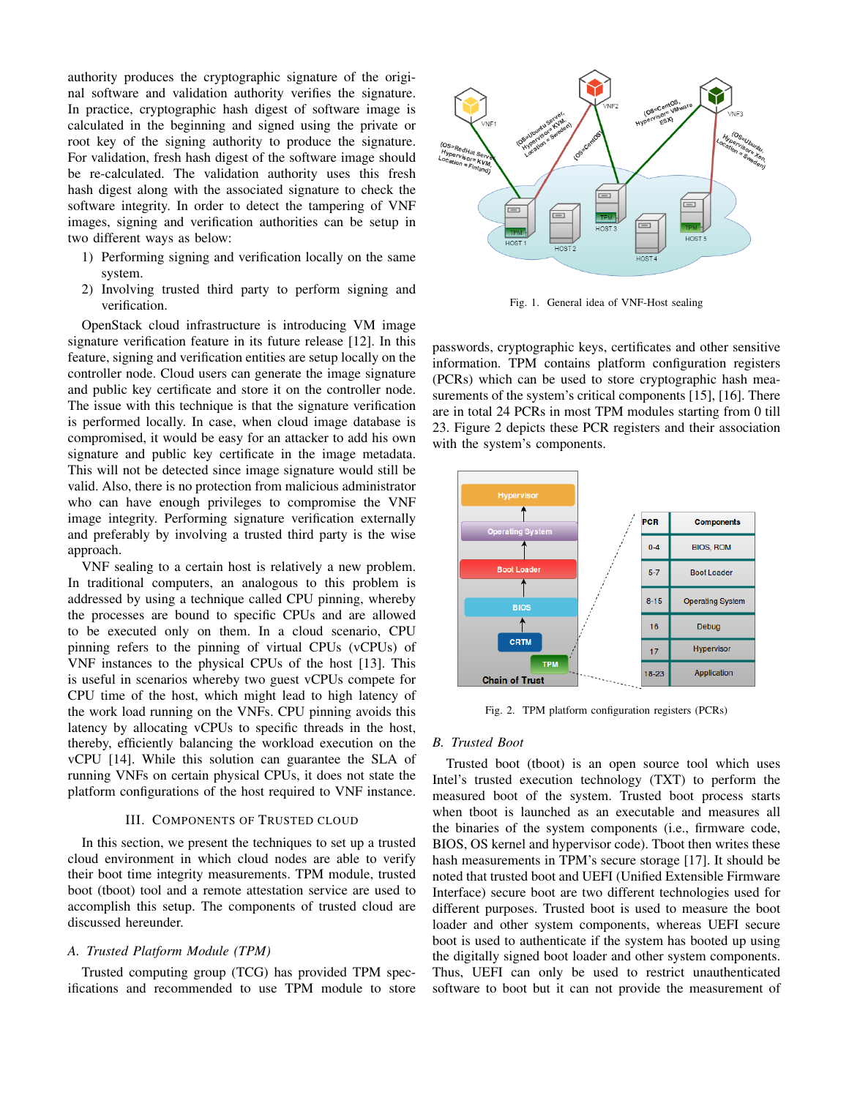authority produces the cryptographic signature of the original software and validation authority verifies the signature. In practice, cryptographic hash digest of software image is calculated in the beginning and signed using the private or root key of the signing authority to produce the signature. For validation, fresh hash digest of the software image should be re-calculated. The validation authority uses this fresh hash digest along with the associated signature to check the software integrity. In order to detect the tampering of VNF images, signing and verification authorities can be setup in two different ways as below:

- 1) Performing signing and verification locally on the same system.
- 2) Involving trusted third party to perform signing and verification.

OpenStack cloud infrastructure is introducing VM image signature verification feature in its future release [12]. In this feature, signing and verification entities are setup locally on the controller node. Cloud users can generate the image signature and public key certificate and store it on the controller node. The issue with this technique is that the signature verification is performed locally. In case, when cloud image database is compromised, it would be easy for an attacker to add his own signature and public key certificate in the image metadata. This will not be detected since image signature would still be valid. Also, there is no protection from malicious administrator who can have enough privileges to compromise the VNF image integrity. Performing signature verification externally and preferably by involving a trusted third party is the wise approach.

VNF sealing to a certain host is relatively a new problem. In traditional computers, an analogous to this problem is addressed by using a technique called CPU pinning, whereby the processes are bound to specific CPUs and are allowed to be executed only on them. In a cloud scenario, CPU pinning refers to the pinning of virtual CPUs (vCPUs) of VNF instances to the physical CPUs of the host [13]. This is useful in scenarios whereby two guest vCPUs compete for CPU time of the host, which might lead to high latency of the work load running on the VNFs. CPU pinning avoids this latency by allocating vCPUs to specific threads in the host, thereby, efficiently balancing the workload execution on the vCPU [14]. While this solution can guarantee the SLA of running VNFs on certain physical CPUs, it does not state the platform configurations of the host required to VNF instance.

# III. COMPONENTS OF TRUSTED CLOUD

In this section, we present the techniques to set up a trusted cloud environment in which cloud nodes are able to verify their boot time integrity measurements. TPM module, trusted boot (tboot) tool and a remote attestation service are used to accomplish this setup. The components of trusted cloud are discussed hereunder.

## *A. Trusted Platform Module (TPM)*

Trusted computing group (TCG) has provided TPM specifications and recommended to use TPM module to store



Fig. 1. General idea of VNF-Host sealing

passwords, cryptographic keys, certificates and other sensitive information. TPM contains platform configuration registers (PCRs) which can be used to store cryptographic hash measurements of the system's critical components [15], [16]. There are in total 24 PCRs in most TPM modules starting from 0 till 23. Figure 2 depicts these PCR registers and their association with the system's components.



Fig. 2. TPM platform configuration registers (PCRs)

## *B. Trusted Boot*

Trusted boot (tboot) is an open source tool which uses Intel's trusted execution technology (TXT) to perform the measured boot of the system. Trusted boot process starts when tboot is launched as an executable and measures all the binaries of the system components (i.e., firmware code, BIOS, OS kernel and hypervisor code). Tboot then writes these hash measurements in TPM's secure storage [17]. It should be noted that trusted boot and UEFI (Unified Extensible Firmware Interface) secure boot are two different technologies used for different purposes. Trusted boot is used to measure the boot loader and other system components, whereas UEFI secure boot is used to authenticate if the system has booted up using the digitally signed boot loader and other system components. Thus, UEFI can only be used to restrict unauthenticated software to boot but it can not provide the measurement of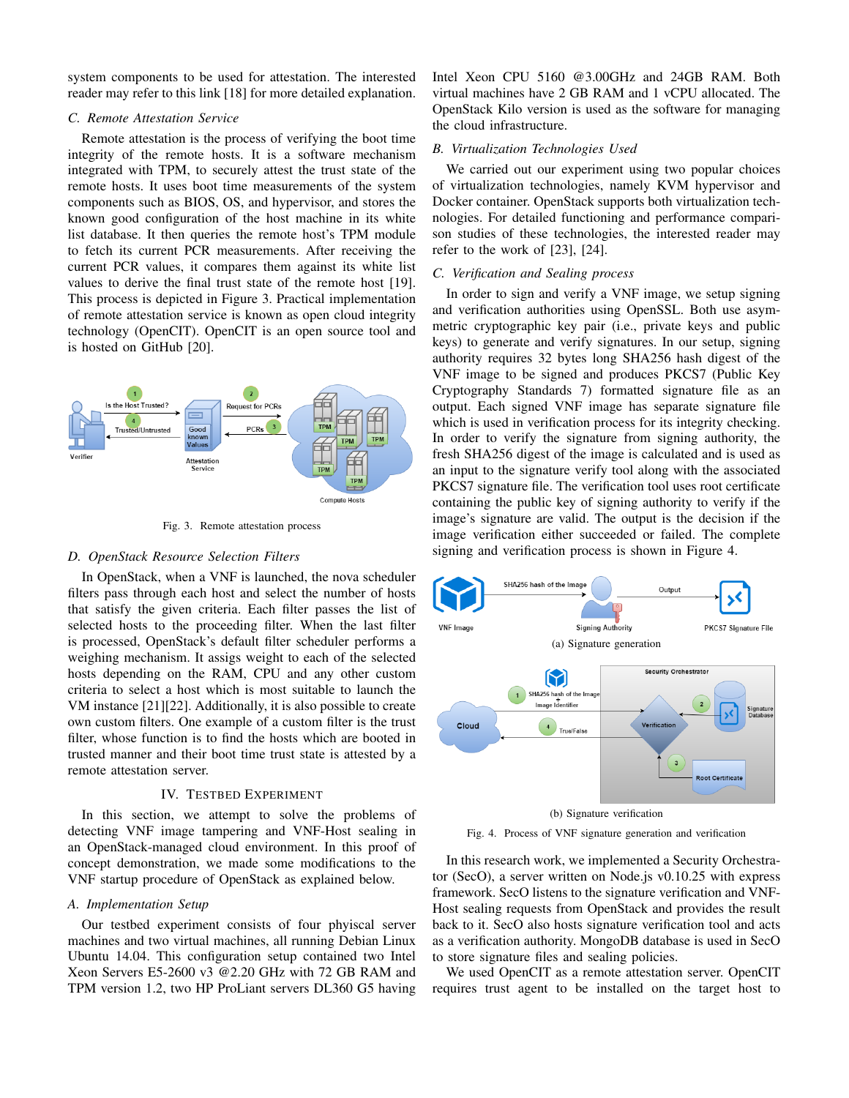system components to be used for attestation. The interested reader may refer to this link [18] for more detailed explanation.

#### *C. Remote Attestation Service*

Remote attestation is the process of verifying the boot time integrity of the remote hosts. It is a software mechanism integrated with TPM, to securely attest the trust state of the remote hosts. It uses boot time measurements of the system components such as BIOS, OS, and hypervisor, and stores the known good configuration of the host machine in its white list database. It then queries the remote host's TPM module to fetch its current PCR measurements. After receiving the current PCR values, it compares them against its white list values to derive the final trust state of the remote host [19]. This process is depicted in Figure 3. Practical implementation of remote attestation service is known as open cloud integrity technology (OpenCIT). OpenCIT is an open source tool and is hosted on GitHub [20].



Fig. 3. Remote attestation process

## *D. OpenStack Resource Selection Filters*

In OpenStack, when a VNF is launched, the nova scheduler filters pass through each host and select the number of hosts that satisfy the given criteria. Each filter passes the list of selected hosts to the proceeding filter. When the last filter is processed, OpenStack's default filter scheduler performs a weighing mechanism. It assigs weight to each of the selected hosts depending on the RAM, CPU and any other custom criteria to select a host which is most suitable to launch the VM instance [21][22]. Additionally, it is also possible to create own custom filters. One example of a custom filter is the trust filter, whose function is to find the hosts which are booted in trusted manner and their boot time trust state is attested by a remote attestation server.

## IV. TESTBED EXPERIMENT

In this section, we attempt to solve the problems of detecting VNF image tampering and VNF-Host sealing in an OpenStack-managed cloud environment. In this proof of concept demonstration, we made some modifications to the VNF startup procedure of OpenStack as explained below.

#### *A. Implementation Setup*

Our testbed experiment consists of four phyiscal server machines and two virtual machines, all running Debian Linux Ubuntu 14.04. This configuration setup contained two Intel Xeon Servers E5-2600 v3 @2.20 GHz with 72 GB RAM and TPM version 1.2, two HP ProLiant servers DL360 G5 having Intel Xeon CPU 5160 @3.00GHz and 24GB RAM. Both virtual machines have 2 GB RAM and 1 vCPU allocated. The OpenStack Kilo version is used as the software for managing the cloud infrastructure.

#### *B. Virtualization Technologies Used*

We carried out our experiment using two popular choices of virtualization technologies, namely KVM hypervisor and Docker container. OpenStack supports both virtualization technologies. For detailed functioning and performance comparison studies of these technologies, the interested reader may refer to the work of [23], [24].

## *C. Verification and Sealing process*

In order to sign and verify a VNF image, we setup signing and verification authorities using OpenSSL. Both use asymmetric cryptographic key pair (i.e., private keys and public keys) to generate and verify signatures. In our setup, signing authority requires 32 bytes long SHA256 hash digest of the VNF image to be signed and produces PKCS7 (Public Key Cryptography Standards 7) formatted signature file as an output. Each signed VNF image has separate signature file which is used in verification process for its integrity checking. In order to verify the signature from signing authority, the fresh SHA256 digest of the image is calculated and is used as an input to the signature verify tool along with the associated PKCS7 signature file. The verification tool uses root certificate containing the public key of signing authority to verify if the image's signature are valid. The output is the decision if the image verification either succeeded or failed. The complete signing and verification process is shown in Figure 4.



Fig. 4. Process of VNF signature generation and verification

In this research work, we implemented a Security Orchestrator (SecO), a server written on Node.js v0.10.25 with express framework. SecO listens to the signature verification and VNF-Host sealing requests from OpenStack and provides the result back to it. SecO also hosts signature verification tool and acts as a verification authority. MongoDB database is used in SecO to store signature files and sealing policies.

We used OpenCIT as a remote attestation server. OpenCIT requires trust agent to be installed on the target host to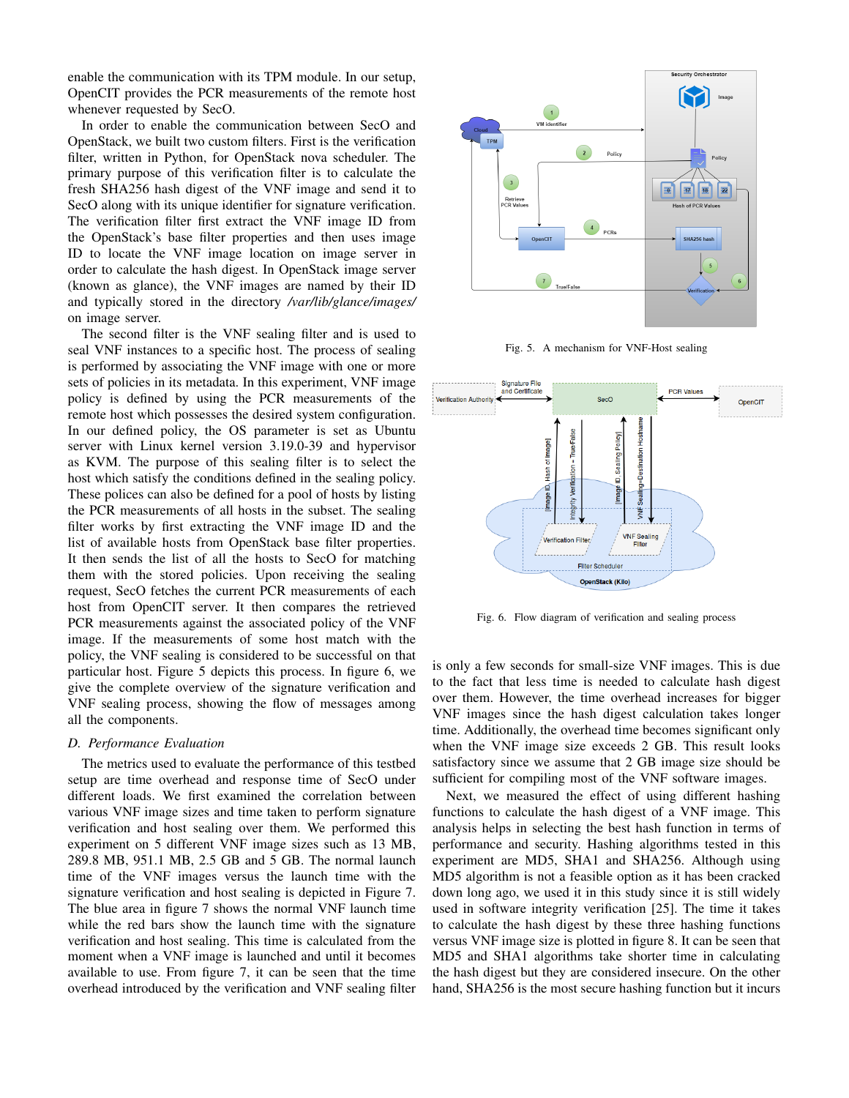enable the communication with its TPM module. In our setup, OpenCIT provides the PCR measurements of the remote host whenever requested by SecO.

In order to enable the communication between SecO and OpenStack, we built two custom filters. First is the verification filter, written in Python, for OpenStack nova scheduler. The primary purpose of this verification filter is to calculate the fresh SHA256 hash digest of the VNF image and send it to SecO along with its unique identifier for signature verification. The verification filter first extract the VNF image ID from the OpenStack's base filter properties and then uses image ID to locate the VNF image location on image server in order to calculate the hash digest. In OpenStack image server (known as glance), the VNF images are named by their ID and typically stored in the directory */var/lib/glance/images/* on image server.

The second filter is the VNF sealing filter and is used to seal VNF instances to a specific host. The process of sealing is performed by associating the VNF image with one or more sets of policies in its metadata. In this experiment, VNF image policy is defined by using the PCR measurements of the remote host which possesses the desired system configuration. In our defined policy, the OS parameter is set as Ubuntu server with Linux kernel version 3.19.0-39 and hypervisor as KVM. The purpose of this sealing filter is to select the host which satisfy the conditions defined in the sealing policy. These polices can also be defined for a pool of hosts by listing the PCR measurements of all hosts in the subset. The sealing filter works by first extracting the VNF image ID and the list of available hosts from OpenStack base filter properties. It then sends the list of all the hosts to SecO for matching them with the stored policies. Upon receiving the sealing request, SecO fetches the current PCR measurements of each host from OpenCIT server. It then compares the retrieved PCR measurements against the associated policy of the VNF image. If the measurements of some host match with the policy, the VNF sealing is considered to be successful on that particular host. Figure 5 depicts this process. In figure 6, we give the complete overview of the signature verification and VNF sealing process, showing the flow of messages among all the components.

# *D. Performance Evaluation*

The metrics used to evaluate the performance of this testbed setup are time overhead and response time of SecO under different loads. We first examined the correlation between various VNF image sizes and time taken to perform signature verification and host sealing over them. We performed this experiment on 5 different VNF image sizes such as 13 MB, 289.8 MB, 951.1 MB, 2.5 GB and 5 GB. The normal launch time of the VNF images versus the launch time with the signature verification and host sealing is depicted in Figure 7. The blue area in figure 7 shows the normal VNF launch time while the red bars show the launch time with the signature verification and host sealing. This time is calculated from the moment when a VNF image is launched and until it becomes available to use. From figure 7, it can be seen that the time overhead introduced by the verification and VNF sealing filter



Fig. 5. A mechanism for VNF-Host sealing



Fig. 6. Flow diagram of verification and sealing process

is only a few seconds for small-size VNF images. This is due to the fact that less time is needed to calculate hash digest over them. However, the time overhead increases for bigger VNF images since the hash digest calculation takes longer time. Additionally, the overhead time becomes significant only when the VNF image size exceeds 2 GB. This result looks satisfactory since we assume that 2 GB image size should be sufficient for compiling most of the VNF software images.

Next, we measured the effect of using different hashing functions to calculate the hash digest of a VNF image. This analysis helps in selecting the best hash function in terms of performance and security. Hashing algorithms tested in this experiment are MD5, SHA1 and SHA256. Although using MD5 algorithm is not a feasible option as it has been cracked down long ago, we used it in this study since it is still widely used in software integrity verification [25]. The time it takes to calculate the hash digest by these three hashing functions versus VNF image size is plotted in figure 8. It can be seen that MD5 and SHA1 algorithms take shorter time in calculating the hash digest but they are considered insecure. On the other hand, SHA256 is the most secure hashing function but it incurs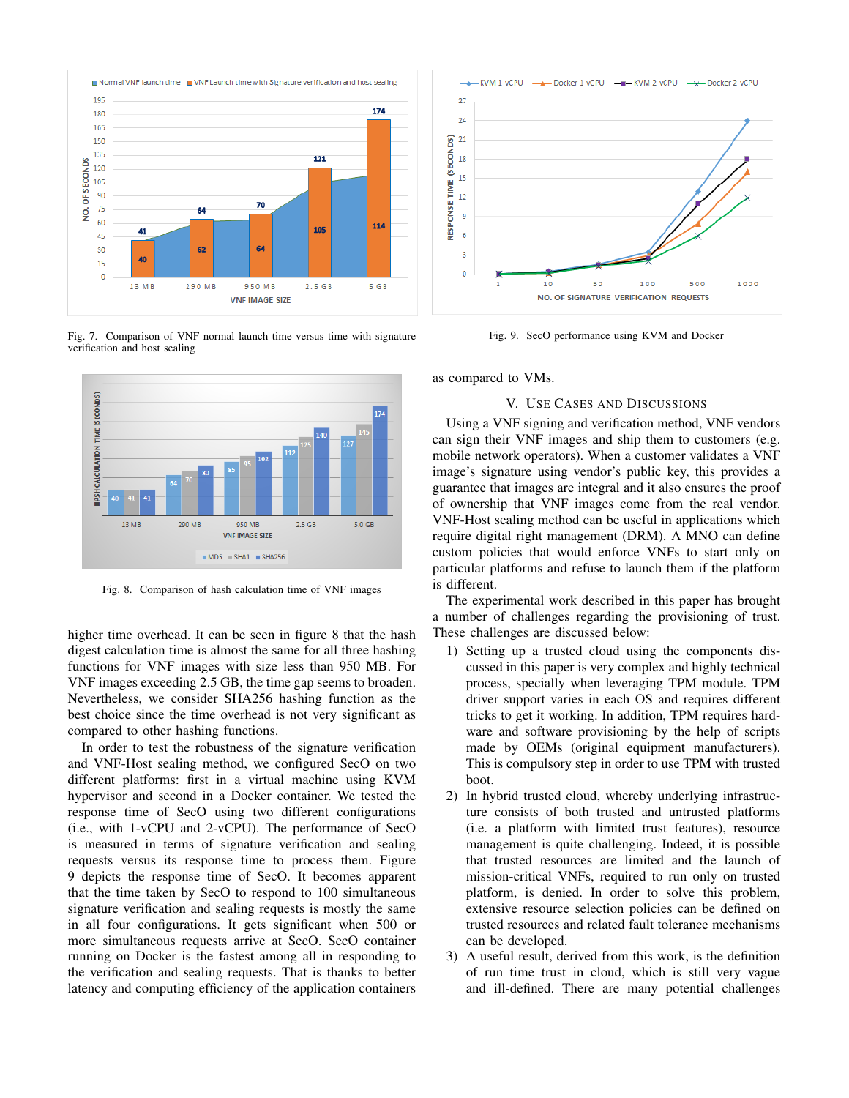

Fig. 7. Comparison of VNF normal launch time versus time with signature verification and host sealing



Fig. 8. Comparison of hash calculation time of VNF images

higher time overhead. It can be seen in figure 8 that the hash digest calculation time is almost the same for all three hashing functions for VNF images with size less than 950 MB. For VNF images exceeding 2.5 GB, the time gap seems to broaden. Nevertheless, we consider SHA256 hashing function as the best choice since the time overhead is not very significant as compared to other hashing functions.

In order to test the robustness of the signature verification and VNF-Host sealing method, we configured SecO on two different platforms: first in a virtual machine using KVM hypervisor and second in a Docker container. We tested the response time of SecO using two different configurations (i.e., with 1-vCPU and 2-vCPU). The performance of SecO is measured in terms of signature verification and sealing requests versus its response time to process them. Figure 9 depicts the response time of SecO. It becomes apparent that the time taken by SecO to respond to 100 simultaneous signature verification and sealing requests is mostly the same in all four configurations. It gets significant when 500 or more simultaneous requests arrive at SecO. SecO container running on Docker is the fastest among all in responding to the verification and sealing requests. That is thanks to better latency and computing efficiency of the application containers



Fig. 9. SecO performance using KVM and Docker

as compared to VMs.

#### V. USE CASES AND DISCUSSIONS

Using a VNF signing and verification method, VNF vendors can sign their VNF images and ship them to customers (e.g. mobile network operators). When a customer validates a VNF image's signature using vendor's public key, this provides a guarantee that images are integral and it also ensures the proof of ownership that VNF images come from the real vendor. VNF-Host sealing method can be useful in applications which require digital right management (DRM). A MNO can define custom policies that would enforce VNFs to start only on particular platforms and refuse to launch them if the platform is different.

The experimental work described in this paper has brought a number of challenges regarding the provisioning of trust. These challenges are discussed below:

- 1) Setting up a trusted cloud using the components discussed in this paper is very complex and highly technical process, specially when leveraging TPM module. TPM driver support varies in each OS and requires different tricks to get it working. In addition, TPM requires hardware and software provisioning by the help of scripts made by OEMs (original equipment manufacturers). This is compulsory step in order to use TPM with trusted boot.
- 2) In hybrid trusted cloud, whereby underlying infrastructure consists of both trusted and untrusted platforms (i.e. a platform with limited trust features), resource management is quite challenging. Indeed, it is possible that trusted resources are limited and the launch of mission-critical VNFs, required to run only on trusted platform, is denied. In order to solve this problem, extensive resource selection policies can be defined on trusted resources and related fault tolerance mechanisms can be developed.
- 3) A useful result, derived from this work, is the definition of run time trust in cloud, which is still very vague and ill-defined. There are many potential challenges